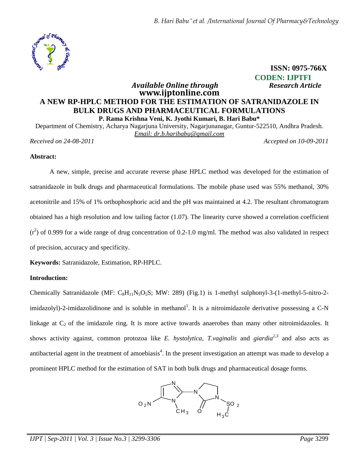

 **ISSN: 0975-766X CODEN: IJPTFI**  *Available Online through Research Article* 

# **www.ijptonline.com A NEW RP-HPLC METHOD FOR THE ESTIMATION OF SATRANIDAZOLE IN BULK DRUGS AND PHARMACEUTICAL FORMULATIONS P. Rama Krishna Veni, K. Jyothi Kumari, B. Hari Babu\***

Department of Chemistry, Acharya Nagarjuna University, Nagarjunanagar, Guntur-522510, Andhra Pradesh. *Email: dr.b.haribabu@gmail.com Received on 24-08-2011 Accepted on 10-09-2011*

### **Abstract:**

A new, simple, precise and accurate reverse phase HPLC method was developed for the estimation of satranidazole in bulk drugs and pharmaceutical formulations. The mobile phase used was 55% methanol, 30% acetonitrile and 15% of 1% orthophosphoric acid and the pH was maintained at 4.2. The resultant chromatogram obtained has a high resolution and low tailing factor (1.07). The linearity curve showed a correlation coefficient  $(r^2)$  of 0.999 for a wide range of drug concentration of 0.2-1.0 mg/ml. The method was also validated in respect of precision, accuracy and specificity.

**Keywords:** Satranidazole, Estimation, RP-HPLC.

## **Introduction:**

Chemically Satranidazole (MF:  $C_8H_{11}N_5O_5S$ ; MW: 289) (Fig.1) is 1-methyl sulphonyl-3-(1-methyl-5-nitro-2imidazolyl)-2-imidazolidinone and is soluble in methanol<sup>1</sup>. It is a nitroimidazole derivative possessing a C-N linkage at  $C_2$  of the imidazole ring. It is more active towards anaerobes than many other nitroimidazoles. It shows activity against, common protozoa like *E. hystolytica, T.vaginalis* and *giardia2,3* and also acts as antibacterial agent in the treatment of amoebiasis<sup>4</sup>. In the present investigation an attempt was made to develop a prominent HPLC method for the estimation of SAT in both bulk drugs and pharmaceutical dosage forms.

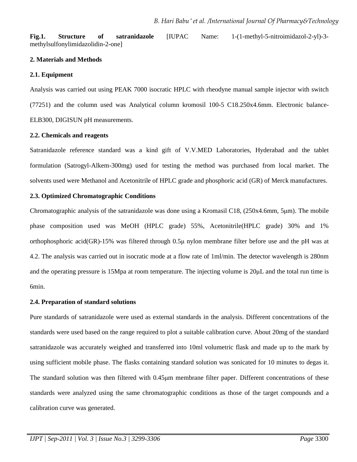**Fig.1. Structure of satranidazole** [IUPAC Name: 1-(1-methyl-5-nitroimidazol-2-yl)-3 methylsulfonylimidazolidin-2-one]

### **2. Materials and Methods**

### **2.1. Equipment**

Analysis was carried out using PEAK 7000 isocratic HPLC with rheodyne manual sample injector with switch (77251) and the column used was Analytical column kromosil 100-5 C18.250x4.6mm. Electronic balance-ELB300, DIGISUN pH measurements.

### **2.2. Chemicals and reagents**

Satranidazole reference standard was a kind gift of V.V.MED Laboratories, Hyderabad and the tablet formulation (Satrogyl-Alkem-300mg) used for testing the method was purchased from local market. The solvents used were Methanol and Acetonitrile of HPLC grade and phosphoric acid (GR) of Merck manufactures.

## **2.3. Optimized Chromatographic Conditions**

Chromatographic analysis of the satranidazole was done using a Kromasil C18, (250x4.6mm, 5µm). The mobile phase composition used was MeOH (HPLC grade) 55%, Acetonitrile(HPLC grade) 30% and 1% orthophosphoric acid(GR)-15% was filtered through 0.5µ nylon membrane filter before use and the pH was at 4.2. The analysis was carried out in isocratic mode at a flow rate of 1ml/min. The detector wavelength is 280nm and the operating pressure is 15Mpa at room temperature. The injecting volume is 20µL and the total run time is 6min.

### **2.4. Preparation of standard solutions**

Pure standards of satranidazole were used as external standards in the analysis. Different concentrations of the standards were used based on the range required to plot a suitable calibration curve. About 20mg of the standard satranidazole was accurately weighed and transferred into 10ml volumetric flask and made up to the mark by using sufficient mobile phase. The flasks containing standard solution was sonicated for 10 minutes to degas it. The standard solution was then filtered with 0.45µm membrane filter paper. Different concentrations of these standards were analyzed using the same chromatographic conditions as those of the target compounds and a calibration curve was generated.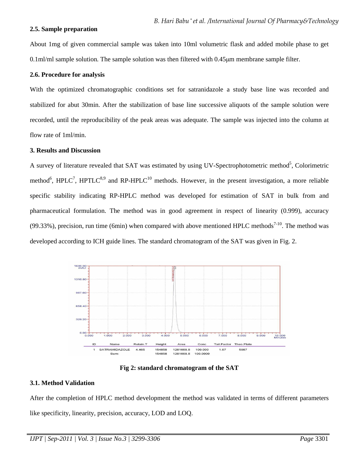#### **2.5. Sample preparation**

About 1mg of given commercial sample was taken into 10ml volumetric flask and added mobile phase to get 0.1ml/ml sample solution. The sample solution was then filtered with 0.45µm membrane sample filter.

### **2.6. Procedure for analysis**

With the optimized chromatographic conditions set for satranidazole a study base line was recorded and stabilized for abut 30min. After the stabilization of base line successive aliquots of the sample solution were recorded, until the reproducibility of the peak areas was adequate. The sample was injected into the column at flow rate of 1ml/min.

### **3. Results and Discussion**

A survey of literature revealed that SAT was estimated by using UV-Spectrophotometric method<sup>5</sup>, Colorimetric method<sup>6</sup>, HPLC<sup>7</sup>, HPTLC<sup>8,9</sup> and RP-HPLC<sup>10</sup> methods. However, in the present investigation, a more reliable specific stability indicating RP-HPLC method was developed for estimation of SAT in bulk from and pharmaceutical formulation. The method was in good agreement in respect of linearity (0.999), accuracy (99.33%), precision, run time (6min) when compared with above mentioned HPLC methods<sup>7-10</sup>. The method was developed according to ICH guide lines. The standard chromatogram of the SAT was given in Fig. 2.



**Fig 2: standard chromatogram of the SAT** 

### **3.1. Method Validation**

After the completion of HPLC method development the method was validated in terms of different parameters like specificity, linearity, precision, accuracy, LOD and LOQ.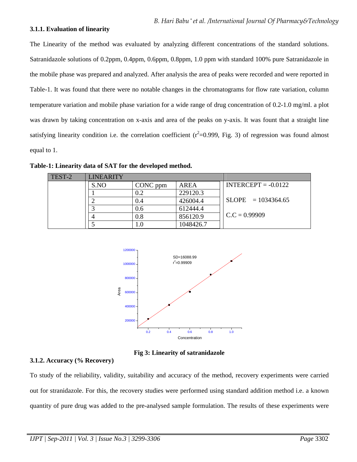#### **3.1.1. Evaluation of linearity**

The Linearity of the method was evaluated by analyzing different concentrations of the standard solutions. Satranidazole solutions of 0.2ppm, 0.4ppm, 0.6ppm, 0.8ppm, 1.0 ppm with standard 100% pure Satranidazole in the mobile phase was prepared and analyzed. After analysis the area of peaks were recorded and were reported in Table-1. It was found that there were no notable changes in the chromatograms for flow rate variation, column temperature variation and mobile phase variation for a wide range of drug concentration of 0.2-1.0 mg/ml. a plot was drawn by taking concentration on x-axis and area of the peaks on y-axis. It was fount that a straight line satisfying linearity condition i.e. the correlation coefficient  $(r^2=0.999, Fig. 3)$  of regression was found almost equal to 1.

| TEST-2 | <b>LINEARITY</b> |          |           |                       |
|--------|------------------|----------|-----------|-----------------------|
|        | S.NO             | CONC ppm | AREA      | $INTERCEPT = -0.0122$ |
|        |                  | 0.2      | 229120.3  |                       |
|        |                  | 0.4      | 426004.4  | $SLOPE = 1034364.65$  |
|        |                  | 0.6      | 612444.4  |                       |
|        |                  | 0.8      | 856120.9  | $C.C = 0.99909$       |
|        |                  | l.O      | 1048426.7 |                       |

**Table-1: Linearity data of SAT for the developed method.**



**Fig 3: Linearity of satranidazole** 

### **3.1.2. Accuracy (% Recovery)**

To study of the reliability, validity, suitability and accuracy of the method, recovery experiments were carried out for stranidazole. For this, the recovery studies were performed using standard addition method i.e. a known quantity of pure drug was added to the pre-analysed sample formulation. The results of these experiments were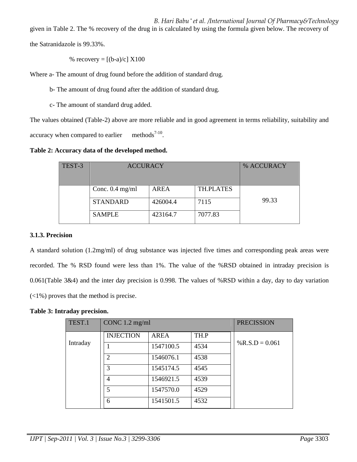*B. Hari Babu \* et al. /International Journal Of Pharmacy&Technology*

given in Table 2. The % recovery of the drug in is calculated by using the formula given below. The recovery of

the Satranidazole is 99.33%.

% recovery =  $[(b-a)/c] X100$ 

Where a- The amount of drug found before the addition of standard drug.

b- The amount of drug found after the addition of standard drug.

c- The amount of standard drug added.

The values obtained (Table-2) above are more reliable and in good agreement in terms reliability, suitability and accuracy when compared to earlier methods<sup> $7-10$ </sup>.

**Table 2: Accuracy data of the developed method.** 

| TEST-3 | <b>ACCURACY</b>   |             |                  | % ACCURACY |
|--------|-------------------|-------------|------------------|------------|
|        | Conc. $0.4$ mg/ml | <b>AREA</b> | <b>TH.PLATES</b> |            |
|        | <b>STANDARD</b>   | 426004.4    | 7115             | 99.33      |
|        | <b>SAMPLE</b>     | 423164.7    | 7077.83          |            |

# **3.1.3. Precision**

A standard solution (1.2mg/ml) of drug substance was injected five times and corresponding peak areas were recorded. The % RSD found were less than 1%. The value of the %RSD obtained in intraday precision is 0.061(Table 3&4) and the inter day precision is 0.998. The values of %RSD within a day, day to day variation (<1%) proves that the method is precise.

# **Table 3: Intraday precision.**

| TEST.1   | CONC $1.2 \text{ mg/ml}$    |             |      | <b>PRECISSION</b> |
|----------|-----------------------------|-------------|------|-------------------|
|          | <b>INJECTION</b>            | <b>AREA</b> | TH.P |                   |
| Intraday |                             | 1547100.5   | 4534 | % R.S.D = $0.061$ |
|          | $\mathcal{D}_{\mathcal{L}}$ | 1546076.1   | 4538 |                   |
|          | 3                           | 1545174.5   | 4545 |                   |
|          | $\overline{4}$              | 1546921.5   | 4539 |                   |
|          | 5                           | 1547570.0   | 4529 |                   |
|          | 6                           | 1541501.5   | 4532 |                   |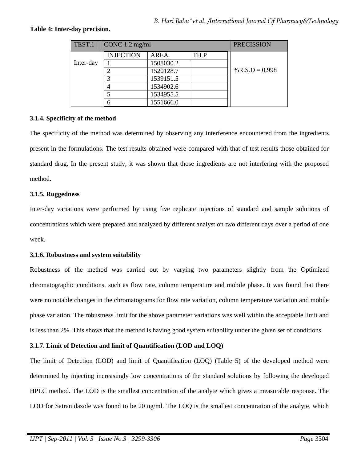### **Table 4: Inter-day precision.**

| TEST.1    | CONC $1.2 \text{ mg/ml}$ |             |      | <b>PRECISSION</b> |
|-----------|--------------------------|-------------|------|-------------------|
|           | <b>INJECTION</b>         | <b>AREA</b> | TH.P |                   |
| Inter-day |                          | 1508030.2   |      |                   |
|           |                          | 1520128.7   |      | % R.S.D = $0.998$ |
|           |                          | 1539151.5   |      |                   |
|           |                          | 1534902.6   |      |                   |
|           |                          | 1534955.5   |      |                   |
|           |                          | 1551666.0   |      |                   |

### **3.1.4. Specificity of the method**

The specificity of the method was determined by observing any interference encountered from the ingredients present in the formulations. The test results obtained were compared with that of test results those obtained for standard drug. In the present study, it was shown that those ingredients are not interfering with the proposed method.

### **3.1.5. Ruggedness**

Inter-day variations were performed by using five replicate injections of standard and sample solutions of concentrations which were prepared and analyzed by different analyst on two different days over a period of one week.

### **3.1.6. Robustness and system suitability**

Robustness of the method was carried out by varying two parameters slightly from the Optimized chromatographic conditions, such as flow rate, column temperature and mobile phase. It was found that there were no notable changes in the chromatograms for flow rate variation, column temperature variation and mobile phase variation. The robustness limit for the above parameter variations was well within the acceptable limit and is less than 2%. This shows that the method is having good system suitability under the given set of conditions.

## **3.1.7. Limit of Detection and limit of Quantification (LOD and LOQ)**

The limit of Detection (LOD) and limit of Quantification (LOQ) (Table 5) of the developed method were determined by injecting increasingly low concentrations of the standard solutions by following the developed HPLC method. The LOD is the smallest concentration of the analyte which gives a measurable response. The LOD for Satranidazole was found to be 20 ng/ml. The LOQ is the smallest concentration of the analyte, which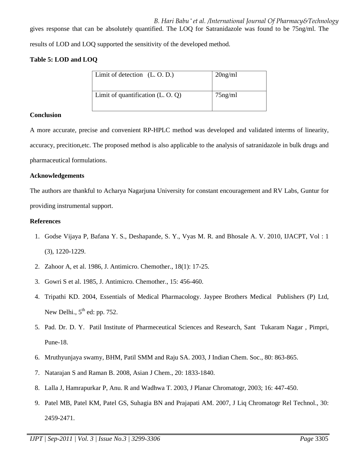gives response that can be absolutely quantified. The LOQ for Satranidazole was found to be 75ng/ml. The results of LOD and LOQ supported the sensitivity of the developed method.

# **Table 5: LOD and LOQ**

| Limit of detection $(L, O, D)$ .    | $20$ ng/ml |
|-------------------------------------|------------|
| Limit of quantification $(L, O, Q)$ | $75$ ng/ml |

## **Conclusion**

A more accurate, precise and convenient RP-HPLC method was developed and validated interms of linearity, accuracy, precition,etc. The proposed method is also applicable to the analysis of satranidazole in bulk drugs and pharmaceutical formulations.

### **Acknowledgements**

The authors are thankful to Acharya Nagarjuna University for constant encouragement and RV Labs, Guntur for providing instrumental support.

## **References**

- 1. Godse Vijaya P, Bafana Y. S., Deshapande, S. Y., Vyas M. R. and Bhosale A. V. 2010, IJACPT, Vol : 1 (3), 1220-1229.
- 2. Zahoor A, et al. 1986, J. Antimicro. Chemother., 18(1): 17-25.
- 3. Gowri S et al. 1985, J. Antimicro. Chemother., 15: 456-460.
- 4. Tripathi KD. 2004, Essentials of Medical Pharmacology. Jaypee Brothers Medical Publishers (P) Ltd, New Delhi.,  $5<sup>th</sup>$  ed: pp. 752.
- 5. Pad. Dr. D. Y. Patil Institute of Pharmeceutical Sciences and Research, Sant Tukaram Nagar , Pimpri, Pune-18.
- 6. Mruthyunjaya swamy, BHM, Patil SMM and Raju SA. 2003, J Indian Chem. Soc., 80: 863-865.
- 7. Natarajan S and Raman B. 2008, Asian J Chem., 20: 1833-1840.
- 8. Lalla J, Hamrapurkar P, Anu. R and Wadhwa T. 2003, J Planar Chromatogr, 2003; 16: 447-450.
- 9. Patel MB, Patel KM, Patel GS, Suhagia BN and Prajapati AM. 2007, J Liq Chromatogr Rel Technol., 30: 2459-2471.